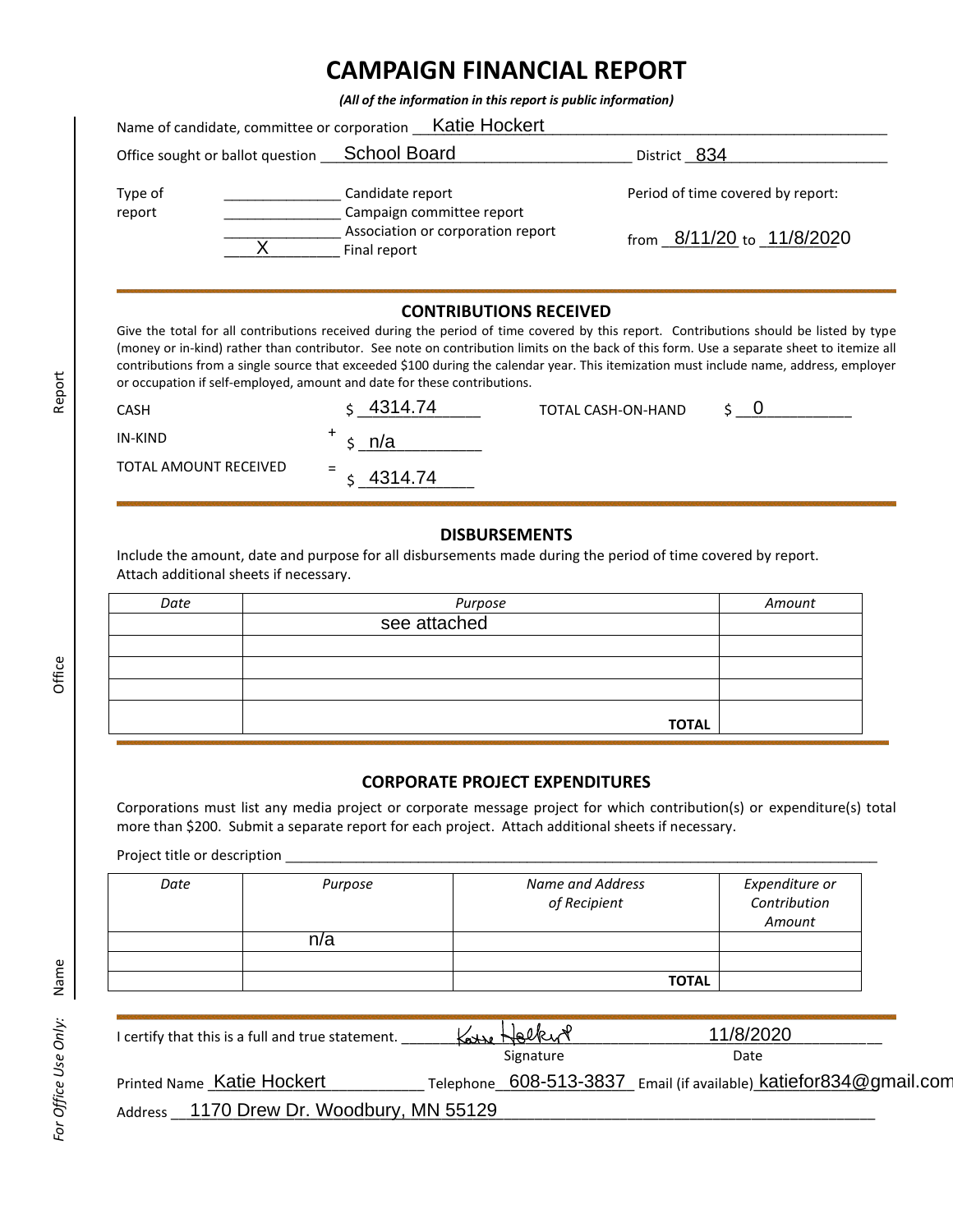## **CAMPAIGN FINANCIAL REPORT**

*(All of the information in this report is public information)*

| Name of candidate, committee or corporation _Katie Hockert |                                                   |                                   |  |  |
|------------------------------------------------------------|---------------------------------------------------|-----------------------------------|--|--|
| Office sought or ballot question <b>School Board</b>       |                                                   | District 834                      |  |  |
| Type of<br>report                                          | Candidate report<br>Campaign committee report     | Period of time covered by report: |  |  |
|                                                            | Association or corporation report<br>Final report | from 8/11/20 to 11/8/2020         |  |  |

## **CONTRIBUTIONS RECEIVED**

Give the total for all contributions received during the period of time covered by this report. Contributions should be listed by type (money or in-kind) rather than contributor. See note on contribution limits on the back of this form. Use a separate sheet to itemize all contributions from a single source that exceeded \$100 during the calendar year. This itemization must include name, address, employer or occupation if self-employed, amount and date for these contributions.

| CASH                  | 4314.74        | TOTAL CASH-ON-HAND |  |
|-----------------------|----------------|--------------------|--|
| IN-KIND               | n/a            |                    |  |
| TOTAL AMOUNT RECEIVED | $=$<br>4314.74 |                    |  |

## **DISBURSEMENTS**

Include the amount, date and purpose for all disbursements made during the period of time covered by report. Attach additional sheets if necessary.

| Date | Purpose      | Amount |
|------|--------------|--------|
|      | see attached |        |
|      |              |        |
|      |              |        |
|      |              |        |
|      |              |        |
|      | <b>TOTAL</b> |        |

## **CORPORATE PROJECT EXPENDITURES**

Corporations must list any media project or corporate message project for which contribution(s) or expenditure(s) total more than \$200. Submit a separate report for each project. Attach additional sheets if necessary.

Project title or description \_

| Date | Purpose | <b>Name and Address</b><br>of Recipient | Expenditure or<br>Contribution<br>Amount |
|------|---------|-----------------------------------------|------------------------------------------|
|      | n/a     |                                         |                                          |
|      |         |                                         |                                          |
|      |         | <b>TOTAL</b>                            |                                          |

| I certify that this is a full and true statement. | Karre Holkert |           | 11/8/2020                                                         |  |
|---------------------------------------------------|---------------|-----------|-------------------------------------------------------------------|--|
|                                                   |               | Signature | Date                                                              |  |
| Printed Name Katie Hockert                        |               |           | Telephone 608-513-3837 Email (if available) katiefor834@gmail.com |  |
| Address 1170 Drew Dr. Woodbury, MN 55129          |               |           |                                                                   |  |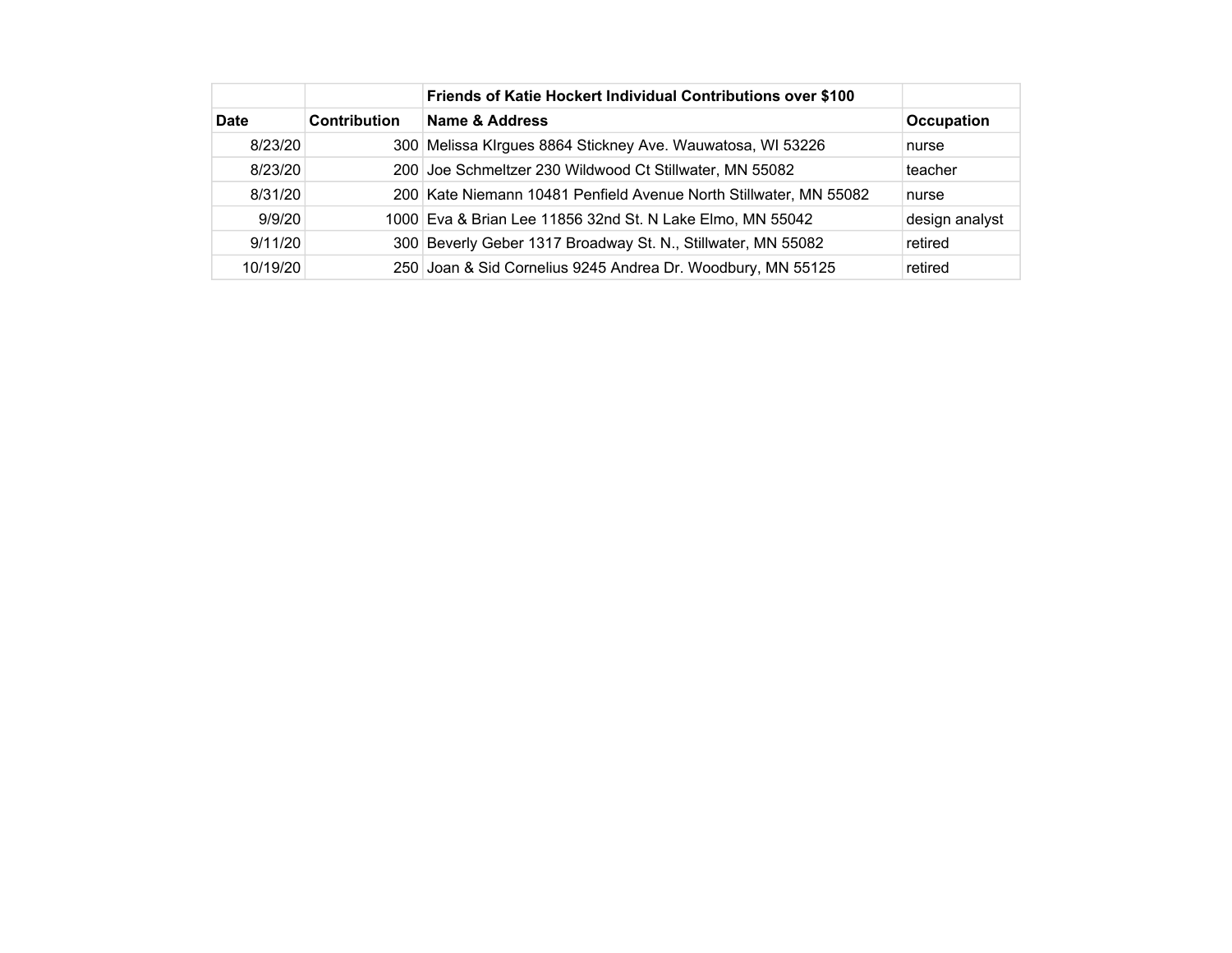|             |                     | Friends of Katie Hockert Individual Contributions over \$100      |                   |
|-------------|---------------------|-------------------------------------------------------------------|-------------------|
| <b>Date</b> | <b>Contribution</b> | Name & Address                                                    | <b>Occupation</b> |
| 8/23/20     |                     | 300 Melissa Klrgues 8864 Stickney Ave. Wauwatosa, WI 53226        | nurse             |
| 8/23/20     |                     | 200 Joe Schmeltzer 230 Wildwood Ct Stillwater, MN 55082           | teacher           |
| 8/31/20     |                     | 200 Kate Niemann 10481 Penfield Avenue North Stillwater, MN 55082 | nurse             |
| 9/9/20      |                     | 1000 Eva & Brian Lee 11856 32nd St. N Lake Elmo, MN 55042         | design analyst    |
| 9/11/20     |                     | 300 Beverly Geber 1317 Broadway St. N., Stillwater, MN 55082      | retired           |
| 10/19/20    |                     | 250 Joan & Sid Cornelius 9245 Andrea Dr. Woodbury, MN 55125       | retired           |